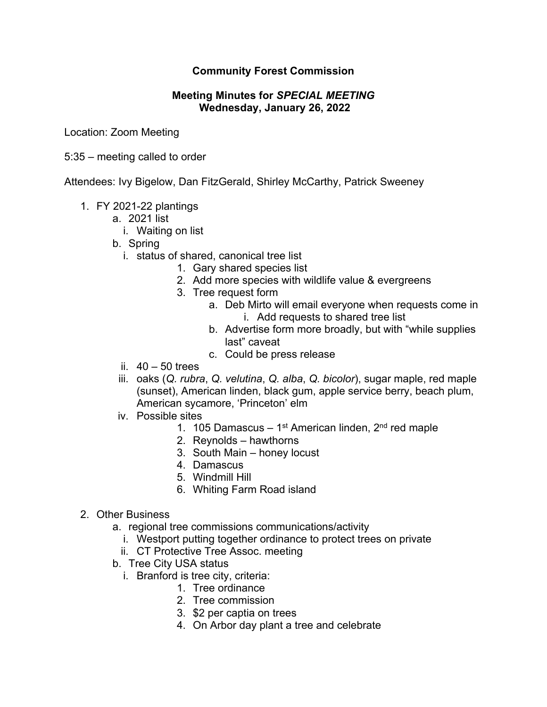## **Community Forest Commission**

## **Meeting Minutes for** *SPECIAL MEETING* **Wednesday, January 26, 2022**

Location: Zoom Meeting

5:35 – meeting called to order

Attendees: Ivy Bigelow, Dan FitzGerald, Shirley McCarthy, Patrick Sweeney

- 1. FY 2021-22 plantings
	- a. 2021 list
		- i. Waiting on list
	- b. Spring
		- i. status of shared, canonical tree list
			- 1. Gary shared species list
			- 2. Add more species with wildlife value & evergreens
			- 3. Tree request form
				- a. Deb Mirto will email everyone when requests come in i. Add requests to shared tree list
				- b. Advertise form more broadly, but with "while supplies last" caveat
				- c. Could be press release
		- ii.  $40 50$  trees
	- iii. oaks (*Q. rubra*, *Q. velutina*, *Q. alba*, *Q. bicolor*), sugar maple, red maple (sunset), American linden, black gum, apple service berry, beach plum, American sycamore, 'Princeton' elm
	- iv. Possible sites
		- 1. 105 Damascus 1<sup>st</sup> American linden,  $2<sup>nd</sup>$  red maple
		- 2. Reynolds hawthorns
		- 3. South Main honey locust
		- 4. Damascus
		- 5. Windmill Hill
		- 6. Whiting Farm Road island
- 2. Other Business
	- a. regional tree commissions communications/activity
		- i. Westport putting together ordinance to protect trees on private
		- ii. CT Protective Tree Assoc. meeting
	- b. Tree City USA status
		- i. Branford is tree city, criteria:
			- 1. Tree ordinance
			- 2. Tree commission
			- 3. \$2 per captia on trees
			- 4. On Arbor day plant a tree and celebrate